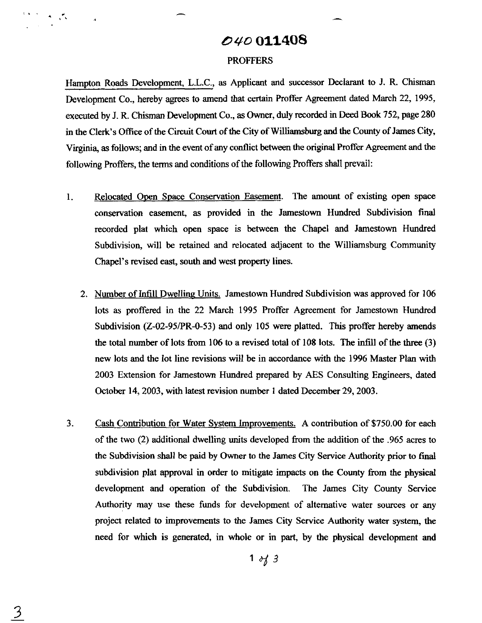# **D** W **011408**

#### PROFFERS

Hampton Roads Development, L.L.C., as Applicant and successor Declarant to J. R. Chisman Development Co., hereby agrees to amend that certain Proffer Agreement dated March 22, 1995, executed by J. R. Chisman Development Co., **as** Owner, duly recorded in Deed **Book** 752, page 280 in the Clerk's Office of the Circuit Court of the City of Williamsburg and the County of James City, Virginia, **as** follows; and in the event of any conflict between the original Proffer Agreement and the following Proffers, the terms and conditions of the following Proffers shall prevail:

- 1. Relocated Oven Space Conservation Easement. The amount of existing open space conservation easement, as provided in the Jamestown Hundred Subdivision final recorded plat which open space is between the Chapel and Jamestown Hundred Subdivision, will be retained and relocated adjacent to the Williamsburg Community Chapel's revised east, south and west property lines.
	- 2. Number of Infill Dwelling Units. Jamestown Hundred Subdivision was approved for 106 lots as proffered in the 22 March 1995 Proffer Agreement for Jamestown Hundred Subdivision (2-02-95/PR-0-53) and only 105 were platted. This proffer hereby amends the total number of lots from 106 to a revised total of 108 lots. The infill of the three  $(3)$ new lots and the lot line revisions will be in accordance with the 1996 Master Plan with 2003 Extension for Jamestown Hundred prepared by AES Consulting Engineers, dated October 14,2003, with latest revision number 1 dated December 29,2003.
- 3. Cash Contribution for Water System Improvements. A contribution of \$750.00 for each of the two (2) additional dwelling units developed from the addition of the .965 acres to the Subdivision shall be paid by **Owner** to the James City Service Authority prior to final subdivision plat approval in order to mitigate impacts on the County **from** the physical development and operation of the Subdivision. The James City County Service Authority may use these funds for development of alternative water sources or any project related to improvements to the James City Service Authority water system, the need for which is generated, in whole or in part, by the physical development and

 $1 \frac{d}{3}$ 

 $\mathbf{A} = \frac{\partial \mathbf{A}}{\partial \mathbf{A}}$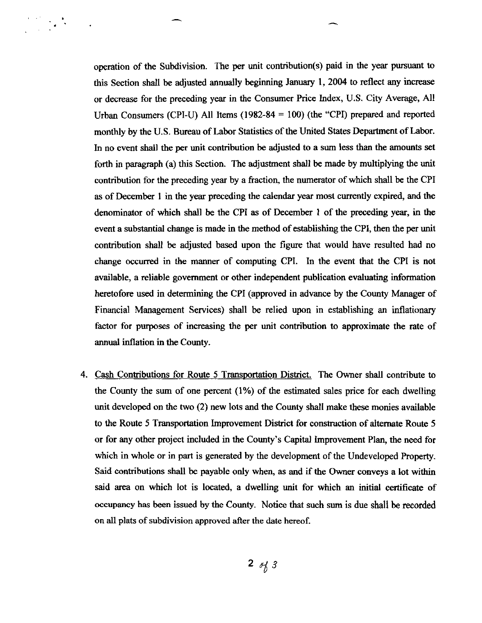operation of the Subdivision. The **per** unit contribution(s) paid in the year pursuant to this Section shall be adjusted annually beginning January 1,2004 to reflect any increase or decrease for the preceding year in the Consumer Price Index, U.S. City Average, All Urban Consumers (CPI-U) All Items **(1982-84** = 100) (the "CPI) prepared and reported monthly by the U.S. Bureau of Labor Statistics of the United States Department of Labor. In no event shall the per unit contribution be adjusted to a sum less than the amounts set forth in paragraph (a) this Section. The adjustment shall be made by multiplying the unit contribution for the preceding year by a fraction, the numerator of which shall be the CPI as of December **1** in the year preceding the calendar year most currently expired, and the denominator of which shall be the CPI as of December **1** of the preceding year, in the event a substantial change is made in the method of establishing the CPI, then the per unit contribution shall be adjusted based upon the figure that would have resulted had no change occurred in the manner of computing CPI. In the event that the CPI is not available, a reliable government or other independent publication evaluating information heretofore used in determining the CPI (approved in advance by the County Manager of Financial Management Services) shall be relied upon in establishing an inflationary factor for purposes of increasing the per unit contribution to approximate the rate of annual inflation in the County.

4. Cash Contributions for Route 5 Transportation District. The Owner shall contribute to the County the sum of one percent (1%) of the estimated sales price for each dwelling unit developed on the two (2) new lots and the County shall make these monies available to the Route 5 Transportation Improvement District for construction of alternate Route 5 or for any other project included in the County's Capital improvement Plan, the need for which in whole or in part is generated by the development of the Undeveloped Property. Said contributions shall be payable only when, as and if the Owner conveys a lot within said area on which lot is located, a dwelling unit for which an initial certificate of occupancy has been issued by the County. Notice that such sum is due shall be recorded on all plats of subdivision approved after the date hereof.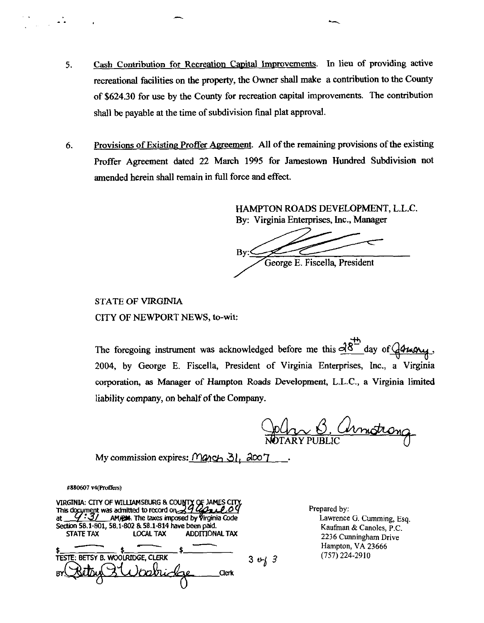- 5. **Cash Contribution for Recreation Capital Improvements.** In lieu of providing active recreational facilities on the property, the Owner shall make a contribution to the County of **\$624.30** for use by the County for recreation capital improvements. The contribution shall be payable at the time of subdivision final plat approval.
- 6. Provisions of Existing Proffer Agreement. All of the remaining provisions of the existing Proffer Agreement dated **22 March** 1995 for Jamestown Hundred Subdivision not amended herein shall remain in full force and effect.

HAMPTON ROADS DEVELOPMENT, L.L.C.

By: Virginia Enterprises, Inc., Manager<br>By: Virginia Enterprises, Inc., Manager<br>*Py* George E. Fiscella, President

STATE OF VIRGINlA CITY OF NEWPORT NEWS, to-wit:

 $\mathbf{\hat{p}}$ CITY OF NEWPORT NEWS, to-wit:<br>The foregoing instrument was acknowledged before me this  $d8^{\frac{18}{12}}$  day of  $\sqrt{44\pi\alpha}$ , 2004, by George E. Fiscella, President of Virginia Enterprises, Inc., a Virginia corporation, as Manager of Hampton Roads Development, L.L.C., a Virginia limited liability company, on behalf of the Company.

John B. Armstrong

My commission expires: Manch 31, 2007.

 $\ddotsc$ 

| #880607 v4(Proffers)<br>VIRGINIA: CITY OF WILLIAMSBURG & COUNTY OF JAMES CITY                                                                                                                                                |                                                                                                                  |
|------------------------------------------------------------------------------------------------------------------------------------------------------------------------------------------------------------------------------|------------------------------------------------------------------------------------------------------------------|
| This document was admitted to record on 29 uses<br>AM/2M. The taxes imposed by Virginia Code<br>at<br>Section 58.1-801, 58.1-802 & 58.1-814 have been paid.<br><b>ADDITIONAL TAX</b><br><b>STATE TAX</b><br><b>LOCAL TAX</b> | Prepared by:<br>Lawrence G. Cumming, Es<br>Kaufman & Canoles, P.C.<br>2236 Cunningham Drive<br>Hampton, VA 23666 |
| TESTE: BETSY B. WOOLRIDGE, CLERK<br>$3 \omega_0/3$<br>Clerk                                                                                                                                                                  | (757) 224-2910                                                                                                   |